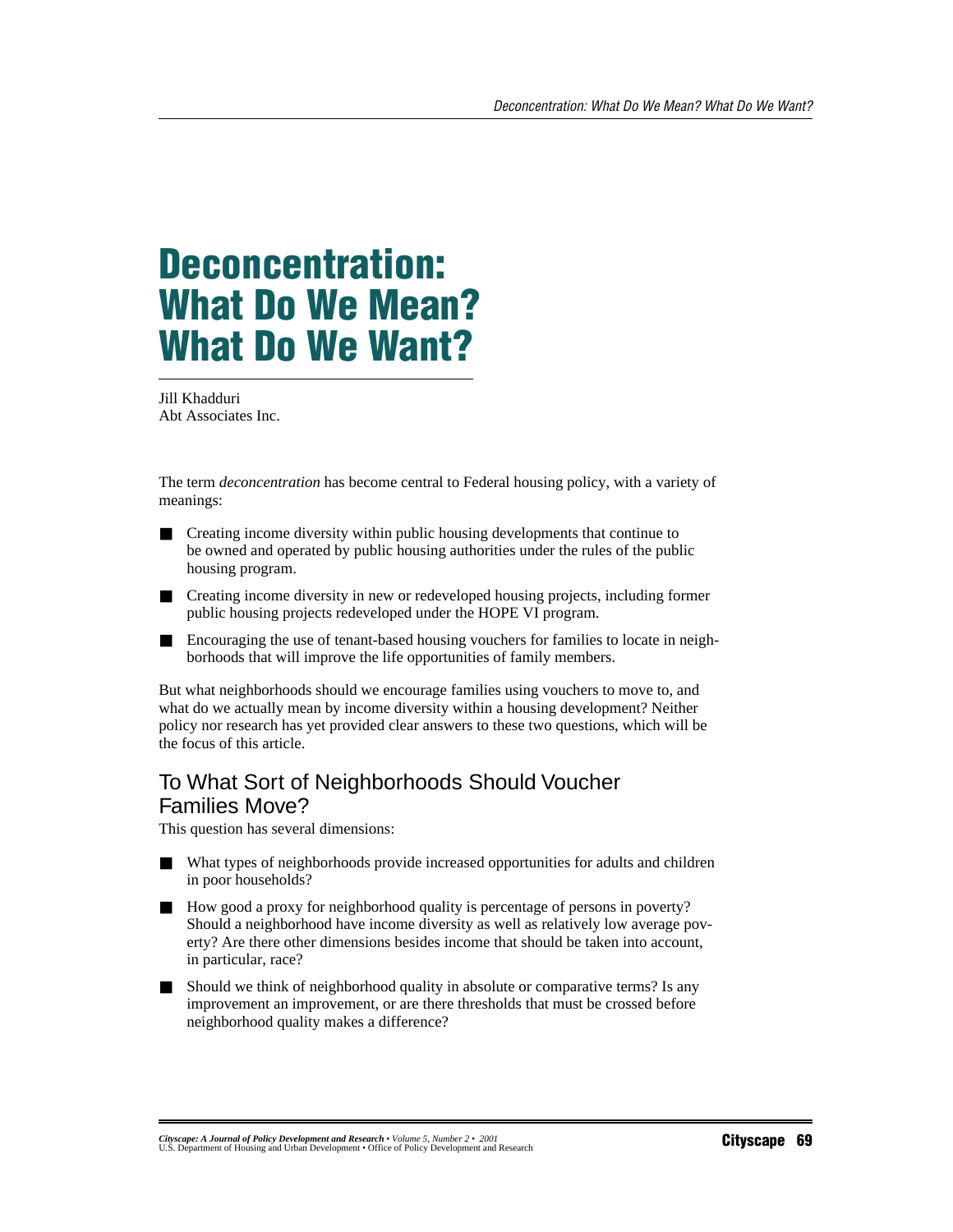# **Deconcentration: What Do We Mean? What Do We Want?**

Jill Khadduri Abt Associates Inc.

The term *deconcentration* has become central to Federal housing policy, with a variety of meanings:

- Creating income diversity within public housing developments that continue to be owned and operated by public housing authorities under the rules of the public housing program.
- Creating income diversity in new or redeveloped housing projects, including former public housing projects redeveloped under the HOPE VI program.
- Encouraging the use of tenant-based housing vouchers for families to locate in neighborhoods that will improve the life opportunities of family members.

But what neighborhoods should we encourage families using vouchers to move to, and what do we actually mean by income diversity within a housing development? Neither policy nor research has yet provided clear answers to these two questions, which will be the focus of this article.

## To What Sort of Neighborhoods Should Voucher Families Move?

This question has several dimensions:

- What types of neighborhoods provide increased opportunities for adults and children in poor households?
- How good a proxy for neighborhood quality is percentage of persons in poverty? Should a neighborhood have income diversity as well as relatively low average poverty? Are there other dimensions besides income that should be taken into account, in particular, race?
- Should we think of neighborhood quality in absolute or comparative terms? Is any improvement an improvement, or are there thresholds that must be crossed before neighborhood quality makes a difference?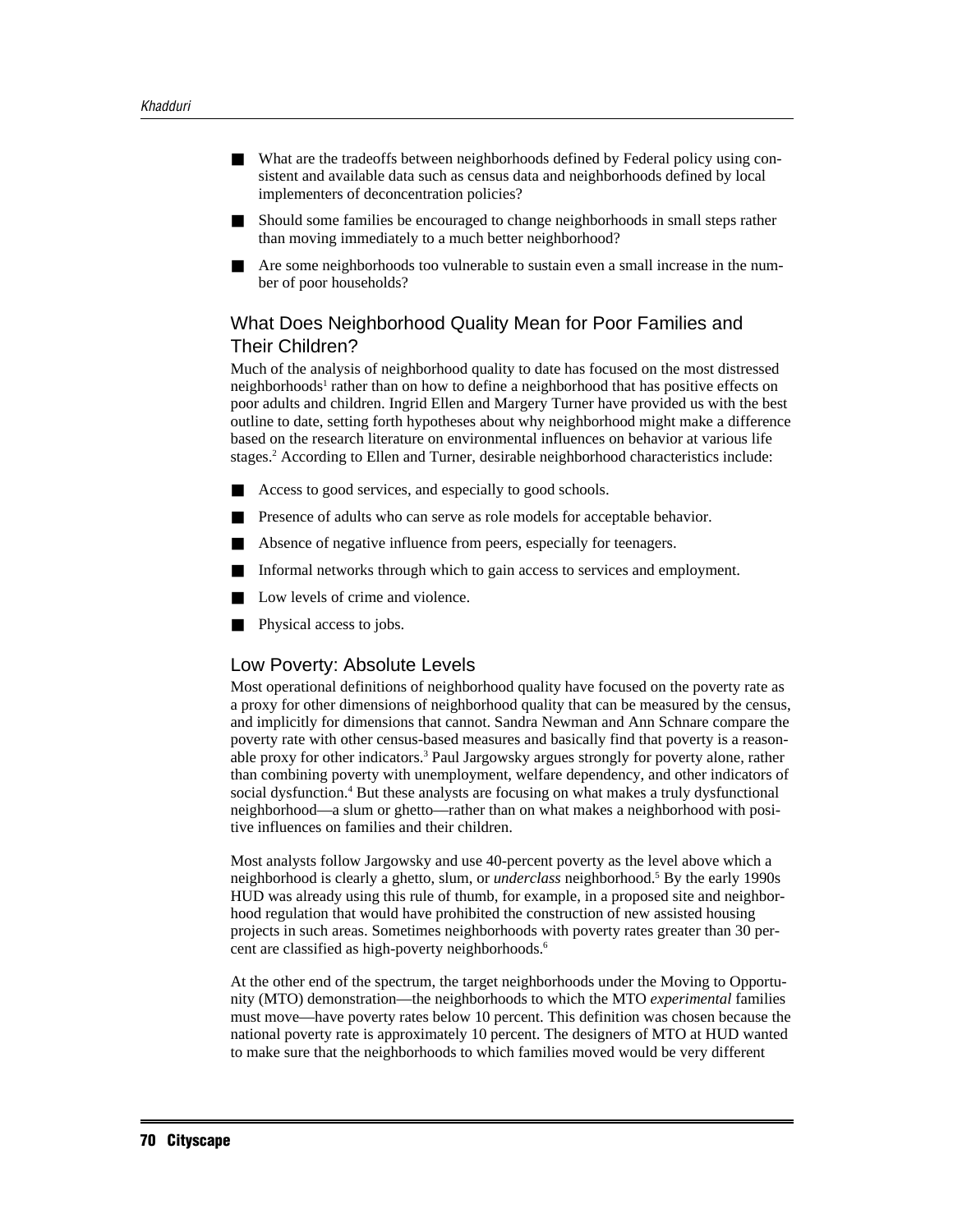- What are the tradeoffs between neighborhoods defined by Federal policy using consistent and available data such as census data and neighborhoods defined by local implementers of deconcentration policies?
- Should some families be encouraged to change neighborhoods in small steps rather than moving immediately to a much better neighborhood?
- Are some neighborhoods too vulnerable to sustain even a small increase in the number of poor households?

## What Does Neighborhood Quality Mean for Poor Families and Their Children?

Much of the analysis of neighborhood quality to date has focused on the most distressed neighborhoods<sup>1</sup> rather than on how to define a neighborhood that has positive effects on poor adults and children. Ingrid Ellen and Margery Turner have provided us with the best outline to date, setting forth hypotheses about why neighborhood might make a difference based on the research literature on environmental influences on behavior at various life stages.<sup>2</sup> According to Ellen and Turner, desirable neighborhood characteristics include:

- Access to good services, and especially to good schools.
- Presence of adults who can serve as role models for acceptable behavior.
- Absence of negative influence from peers, especially for teenagers.
- Informal networks through which to gain access to services and employment.
- Low levels of crime and violence.
- Physical access to jobs.

#### Low Poverty: Absolute Levels

Most operational definitions of neighborhood quality have focused on the poverty rate as a proxy for other dimensions of neighborhood quality that can be measured by the census, and implicitly for dimensions that cannot. Sandra Newman and Ann Schnare compare the poverty rate with other census-based measures and basically find that poverty is a reasonable proxy for other indicators.<sup>3</sup> Paul Jargowsky argues strongly for poverty alone, rather than combining poverty with unemployment, welfare dependency, and other indicators of social dysfunction.<sup>4</sup> But these analysts are focusing on what makes a truly dysfunctional neighborhood—a slum or ghetto—rather than on what makes a neighborhood with positive influences on families and their children.

Most analysts follow Jargowsky and use 40-percent poverty as the level above which a neighborhood is clearly a ghetto, slum, or *underclass* neighborhood.5 By the early 1990s HUD was already using this rule of thumb, for example, in a proposed site and neighborhood regulation that would have prohibited the construction of new assisted housing projects in such areas. Sometimes neighborhoods with poverty rates greater than 30 percent are classified as high-poverty neighborhoods.6

At the other end of the spectrum, the target neighborhoods under the Moving to Opportunity (MTO) demonstration—the neighborhoods to which the MTO *experimental* families must move—have poverty rates below 10 percent. This definition was chosen because the national poverty rate is approximately 10 percent. The designers of MTO at HUD wanted to make sure that the neighborhoods to which families moved would be very different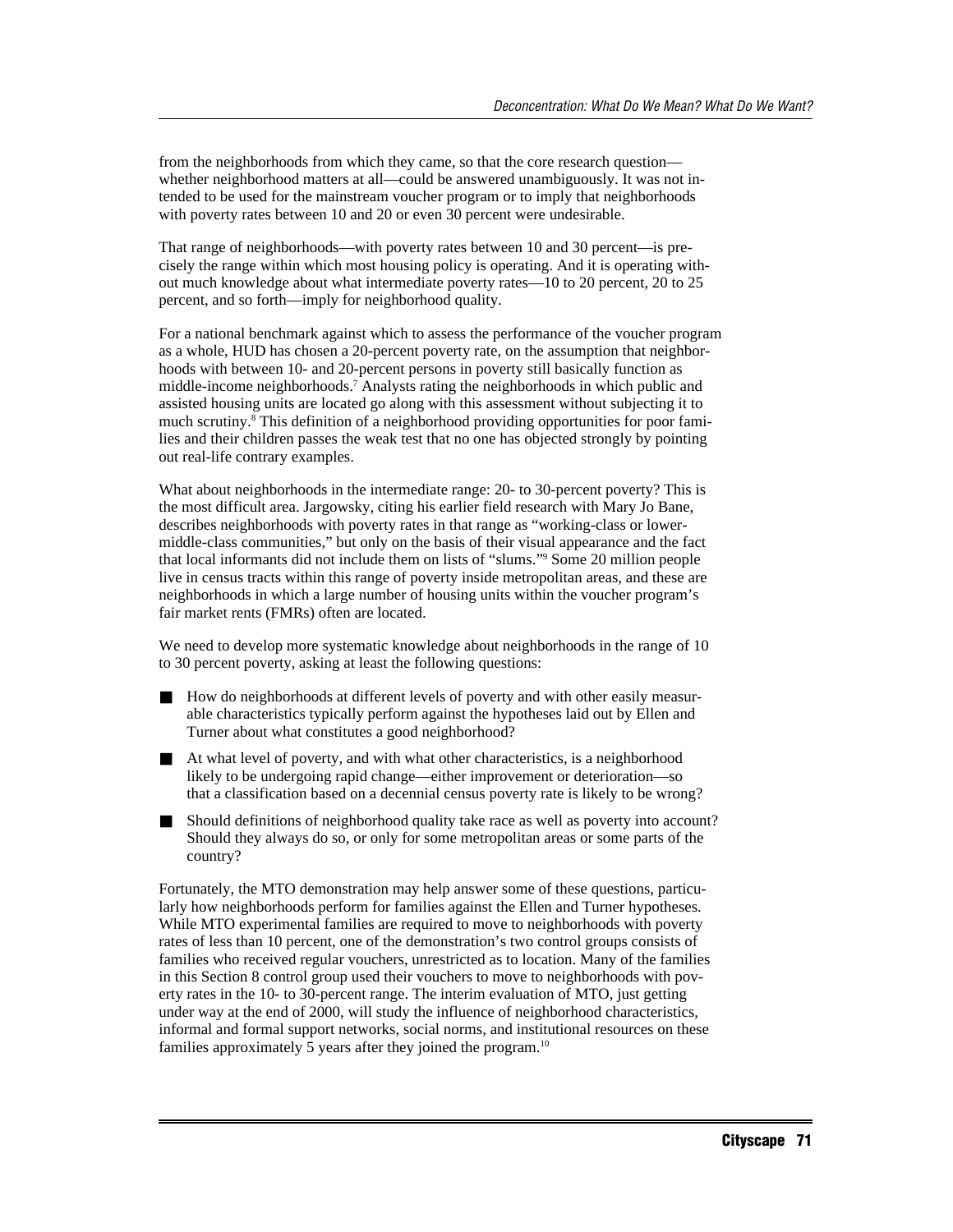from the neighborhoods from which they came, so that the core research question whether neighborhood matters at all—could be answered unambiguously. It was not intended to be used for the mainstream voucher program or to imply that neighborhoods with poverty rates between 10 and 20 or even 30 percent were undesirable.

That range of neighborhoods—with poverty rates between 10 and 30 percent—is precisely the range within which most housing policy is operating. And it is operating without much knowledge about what intermediate poverty rates—10 to 20 percent, 20 to 25 percent, and so forth—imply for neighborhood quality.

For a national benchmark against which to assess the performance of the voucher program as a whole, HUD has chosen a 20-percent poverty rate, on the assumption that neighborhoods with between 10- and 20-percent persons in poverty still basically function as middle-income neighborhoods.7 Analysts rating the neighborhoods in which public and assisted housing units are located go along with this assessment without subjecting it to much scrutiny.8 This definition of a neighborhood providing opportunities for poor families and their children passes the weak test that no one has objected strongly by pointing out real-life contrary examples.

What about neighborhoods in the intermediate range: 20- to 30-percent poverty? This is the most difficult area. Jargowsky, citing his earlier field research with Mary Jo Bane, describes neighborhoods with poverty rates in that range as "working-class or lowermiddle-class communities," but only on the basis of their visual appearance and the fact that local informants did not include them on lists of "slums."9 Some 20 million people live in census tracts within this range of poverty inside metropolitan areas, and these are neighborhoods in which a large number of housing units within the voucher program's fair market rents (FMRs) often are located.

We need to develop more systematic knowledge about neighborhoods in the range of 10 to 30 percent poverty, asking at least the following questions:

- How do neighborhoods at different levels of poverty and with other easily measurable characteristics typically perform against the hypotheses laid out by Ellen and Turner about what constitutes a good neighborhood?
- At what level of poverty, and with what other characteristics, is a neighborhood likely to be undergoing rapid change—either improvement or deterioration—so that a classification based on a decennial census poverty rate is likely to be wrong?
- Should definitions of neighborhood quality take race as well as poverty into account? Should they always do so, or only for some metropolitan areas or some parts of the country?

Fortunately, the MTO demonstration may help answer some of these questions, particularly how neighborhoods perform for families against the Ellen and Turner hypotheses. While MTO experimental families are required to move to neighborhoods with poverty rates of less than 10 percent, one of the demonstration's two control groups consists of families who received regular vouchers, unrestricted as to location. Many of the families in this Section 8 control group used their vouchers to move to neighborhoods with poverty rates in the 10- to 30-percent range. The interim evaluation of MTO, just getting under way at the end of 2000, will study the influence of neighborhood characteristics, informal and formal support networks, social norms, and institutional resources on these families approximately 5 years after they joined the program.<sup>10</sup>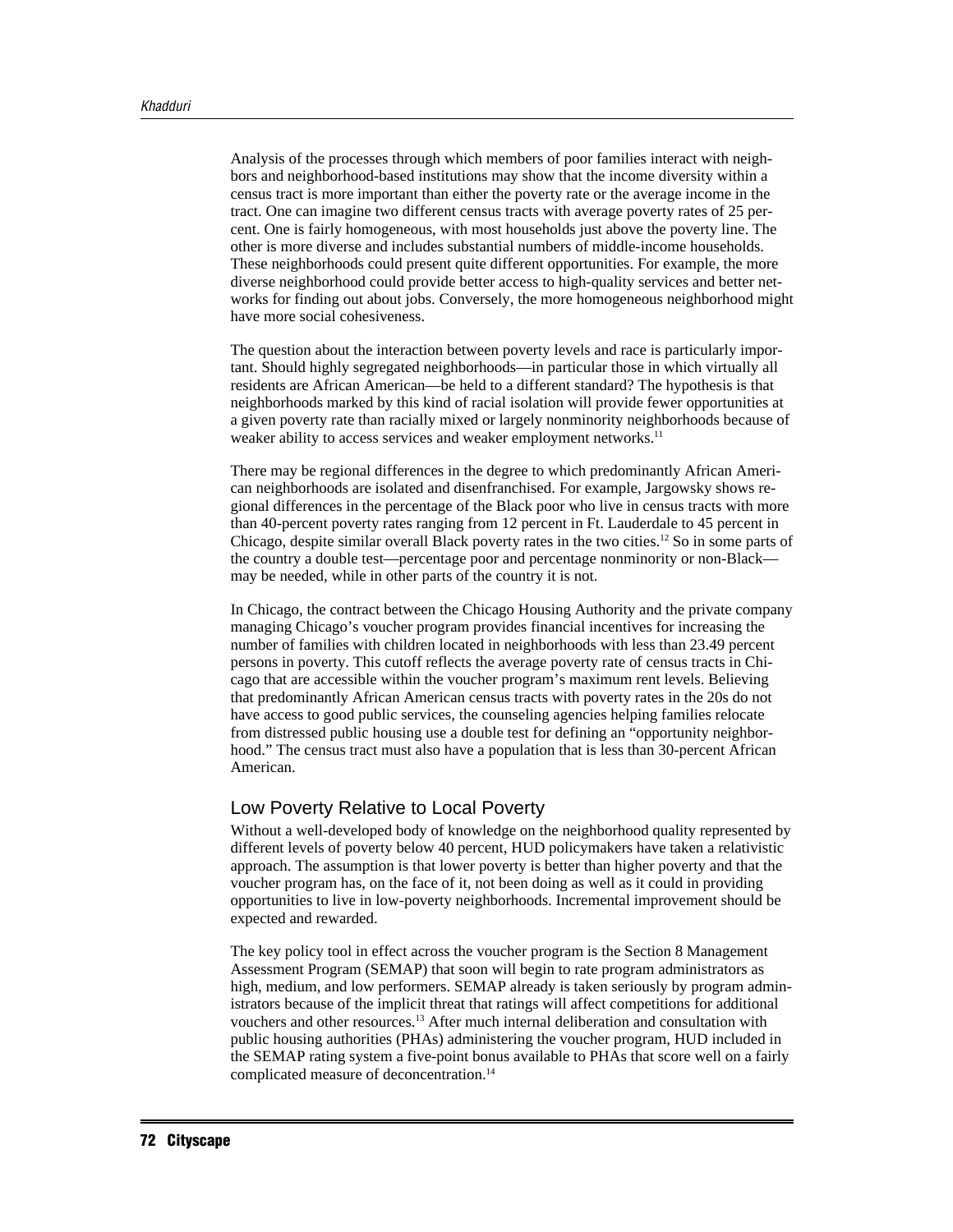Analysis of the processes through which members of poor families interact with neighbors and neighborhood-based institutions may show that the income diversity within a census tract is more important than either the poverty rate or the average income in the tract. One can imagine two different census tracts with average poverty rates of 25 percent. One is fairly homogeneous, with most households just above the poverty line. The other is more diverse and includes substantial numbers of middle-income households. These neighborhoods could present quite different opportunities. For example, the more diverse neighborhood could provide better access to high-quality services and better networks for finding out about jobs. Conversely, the more homogeneous neighborhood might have more social cohesiveness.

The question about the interaction between poverty levels and race is particularly important. Should highly segregated neighborhoods—in particular those in which virtually all residents are African American—be held to a different standard? The hypothesis is that neighborhoods marked by this kind of racial isolation will provide fewer opportunities at a given poverty rate than racially mixed or largely nonminority neighborhoods because of weaker ability to access services and weaker employment networks.<sup>11</sup>

There may be regional differences in the degree to which predominantly African American neighborhoods are isolated and disenfranchised. For example, Jargowsky shows regional differences in the percentage of the Black poor who live in census tracts with more than 40-percent poverty rates ranging from 12 percent in Ft. Lauderdale to 45 percent in Chicago, despite similar overall Black poverty rates in the two cities.12 So in some parts of the country a double test—percentage poor and percentage nonminority or non-Black may be needed, while in other parts of the country it is not.

In Chicago, the contract between the Chicago Housing Authority and the private company managing Chicago's voucher program provides financial incentives for increasing the number of families with children located in neighborhoods with less than 23.49 percent persons in poverty. This cutoff reflects the average poverty rate of census tracts in Chicago that are accessible within the voucher program's maximum rent levels. Believing that predominantly African American census tracts with poverty rates in the 20s do not have access to good public services, the counseling agencies helping families relocate from distressed public housing use a double test for defining an "opportunity neighborhood." The census tract must also have a population that is less than 30-percent African American.

#### Low Poverty Relative to Local Poverty

Without a well-developed body of knowledge on the neighborhood quality represented by different levels of poverty below 40 percent, HUD policymakers have taken a relativistic approach. The assumption is that lower poverty is better than higher poverty and that the voucher program has, on the face of it, not been doing as well as it could in providing opportunities to live in low-poverty neighborhoods. Incremental improvement should be expected and rewarded.

The key policy tool in effect across the voucher program is the Section 8 Management Assessment Program (SEMAP) that soon will begin to rate program administrators as high, medium, and low performers. SEMAP already is taken seriously by program administrators because of the implicit threat that ratings will affect competitions for additional vouchers and other resources.13 After much internal deliberation and consultation with public housing authorities (PHAs) administering the voucher program, HUD included in the SEMAP rating system a five-point bonus available to PHAs that score well on a fairly complicated measure of deconcentration.14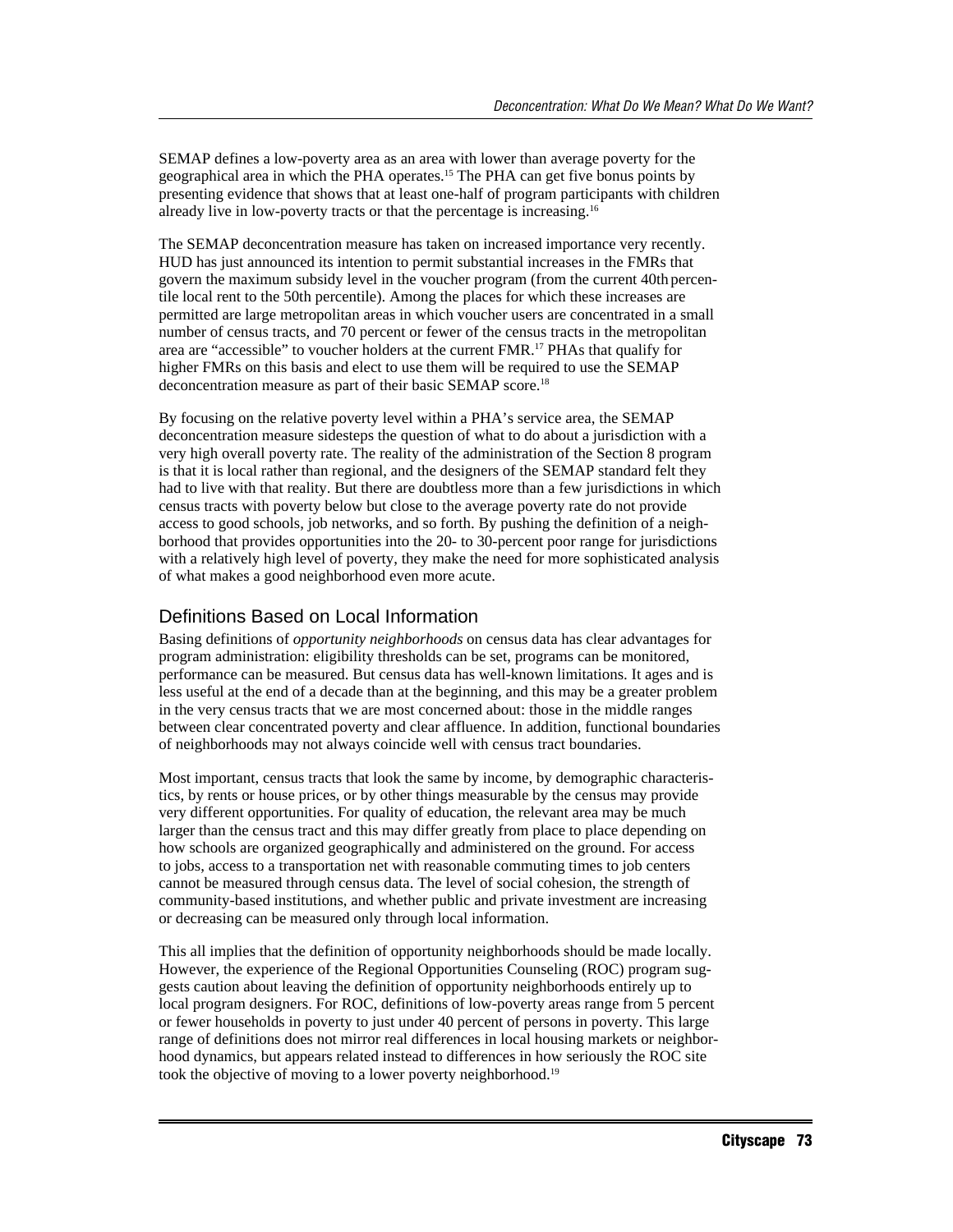SEMAP defines a low-poverty area as an area with lower than average poverty for the geographical area in which the PHA operates.15 The PHA can get five bonus points by presenting evidence that shows that at least one-half of program participants with children already live in low-poverty tracts or that the percentage is increasing.16

The SEMAP deconcentration measure has taken on increased importance very recently. HUD has just announced its intention to permit substantial increases in the FMRs that govern the maximum subsidy level in the voucher program (from the current 40th percentile local rent to the 50th percentile). Among the places for which these increases are permitted are large metropolitan areas in which voucher users are concentrated in a small number of census tracts, and 70 percent or fewer of the census tracts in the metropolitan area are "accessible" to voucher holders at the current FMR.17 PHAs that qualify for higher FMRs on this basis and elect to use them will be required to use the SEMAP deconcentration measure as part of their basic SEMAP score.<sup>18</sup>

By focusing on the relative poverty level within a PHA's service area, the SEMAP deconcentration measure sidesteps the question of what to do about a jurisdiction with a very high overall poverty rate. The reality of the administration of the Section 8 program is that it is local rather than regional, and the designers of the SEMAP standard felt they had to live with that reality. But there are doubtless more than a few jurisdictions in which census tracts with poverty below but close to the average poverty rate do not provide access to good schools, job networks, and so forth. By pushing the definition of a neighborhood that provides opportunities into the 20- to 30-percent poor range for jurisdictions with a relatively high level of poverty, they make the need for more sophisticated analysis of what makes a good neighborhood even more acute.

#### Definitions Based on Local Information

Basing definitions of *opportunity neighborhoods* on census data has clear advantages for program administration: eligibility thresholds can be set, programs can be monitored, performance can be measured. But census data has well-known limitations. It ages and is less useful at the end of a decade than at the beginning, and this may be a greater problem in the very census tracts that we are most concerned about: those in the middle ranges between clear concentrated poverty and clear affluence. In addition, functional boundaries of neighborhoods may not always coincide well with census tract boundaries.

Most important, census tracts that look the same by income, by demographic characteristics, by rents or house prices, or by other things measurable by the census may provide very different opportunities. For quality of education, the relevant area may be much larger than the census tract and this may differ greatly from place to place depending on how schools are organized geographically and administered on the ground. For access to jobs, access to a transportation net with reasonable commuting times to job centers cannot be measured through census data. The level of social cohesion, the strength of community-based institutions, and whether public and private investment are increasing or decreasing can be measured only through local information.

This all implies that the definition of opportunity neighborhoods should be made locally. However, the experience of the Regional Opportunities Counseling (ROC) program suggests caution about leaving the definition of opportunity neighborhoods entirely up to local program designers. For ROC, definitions of low-poverty areas range from 5 percent or fewer households in poverty to just under 40 percent of persons in poverty. This large range of definitions does not mirror real differences in local housing markets or neighborhood dynamics, but appears related instead to differences in how seriously the ROC site took the objective of moving to a lower poverty neighborhood.<sup>19</sup>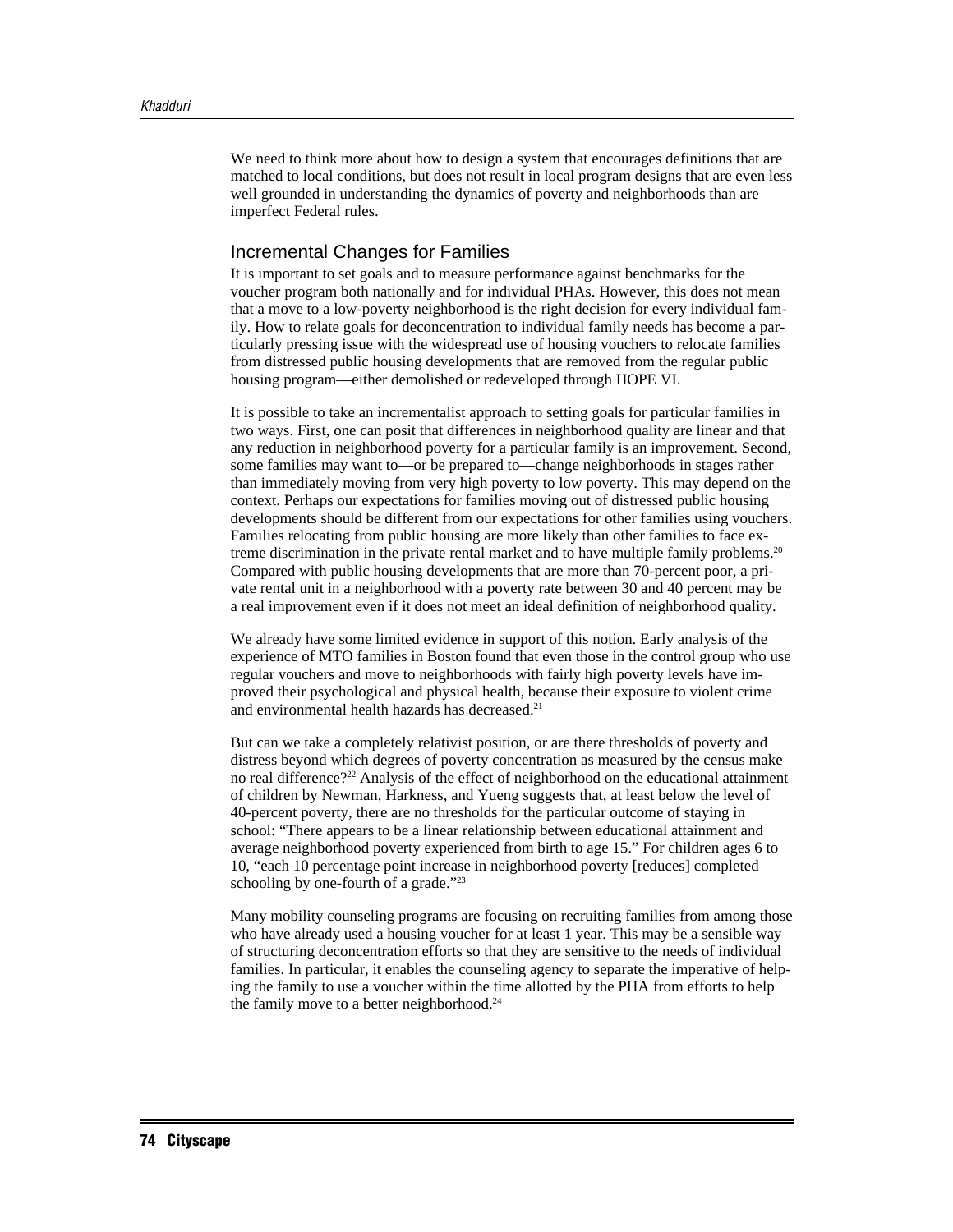We need to think more about how to design a system that encourages definitions that are matched to local conditions, but does not result in local program designs that are even less well grounded in understanding the dynamics of poverty and neighborhoods than are imperfect Federal rules.

#### Incremental Changes for Families

It is important to set goals and to measure performance against benchmarks for the voucher program both nationally and for individual PHAs. However, this does not mean that a move to a low-poverty neighborhood is the right decision for every individual family. How to relate goals for deconcentration to individual family needs has become a particularly pressing issue with the widespread use of housing vouchers to relocate families from distressed public housing developments that are removed from the regular public housing program—either demolished or redeveloped through HOPE VI.

It is possible to take an incrementalist approach to setting goals for particular families in two ways. First, one can posit that differences in neighborhood quality are linear and that any reduction in neighborhood poverty for a particular family is an improvement. Second, some families may want to—or be prepared to—change neighborhoods in stages rather than immediately moving from very high poverty to low poverty. This may depend on the context. Perhaps our expectations for families moving out of distressed public housing developments should be different from our expectations for other families using vouchers. Families relocating from public housing are more likely than other families to face extreme discrimination in the private rental market and to have multiple family problems.<sup>20</sup> Compared with public housing developments that are more than 70-percent poor, a private rental unit in a neighborhood with a poverty rate between 30 and 40 percent may be a real improvement even if it does not meet an ideal definition of neighborhood quality.

We already have some limited evidence in support of this notion. Early analysis of the experience of MTO families in Boston found that even those in the control group who use regular vouchers and move to neighborhoods with fairly high poverty levels have improved their psychological and physical health, because their exposure to violent crime and environmental health hazards has decreased.21

But can we take a completely relativist position, or are there thresholds of poverty and distress beyond which degrees of poverty concentration as measured by the census make no real difference?22 Analysis of the effect of neighborhood on the educational attainment of children by Newman, Harkness, and Yueng suggests that, at least below the level of 40-percent poverty, there are no thresholds for the particular outcome of staying in school: "There appears to be a linear relationship between educational attainment and average neighborhood poverty experienced from birth to age 15." For children ages 6 to 10, "each 10 percentage point increase in neighborhood poverty [reduces] completed schooling by one-fourth of a grade."<sup>23</sup>

Many mobility counseling programs are focusing on recruiting families from among those who have already used a housing voucher for at least 1 year. This may be a sensible way of structuring deconcentration efforts so that they are sensitive to the needs of individual families. In particular, it enables the counseling agency to separate the imperative of helping the family to use a voucher within the time allotted by the PHA from efforts to help the family move to a better neighborhood.<sup>24</sup>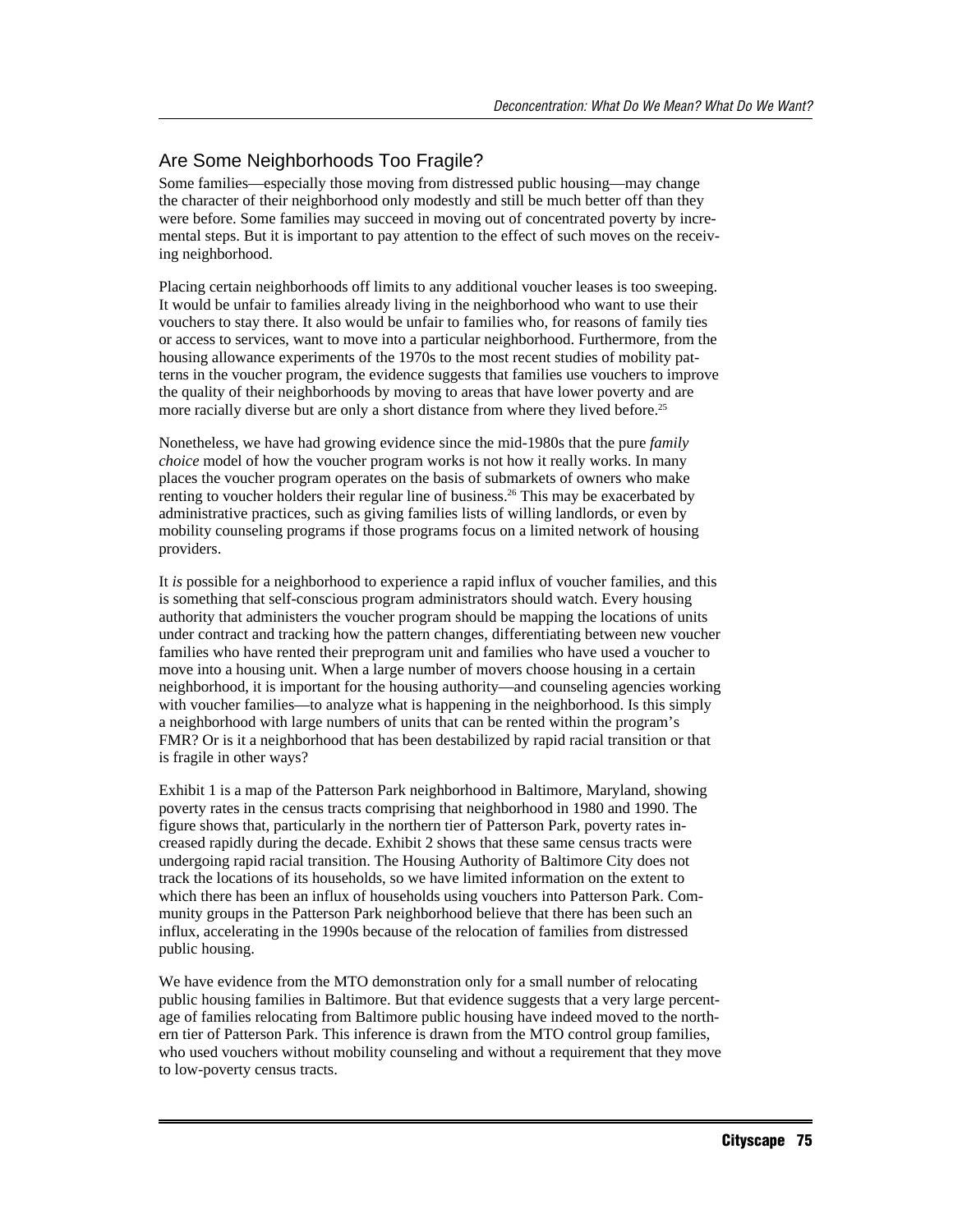## Are Some Neighborhoods Too Fragile?

Some families—especially those moving from distressed public housing—may change the character of their neighborhood only modestly and still be much better off than they were before. Some families may succeed in moving out of concentrated poverty by incremental steps. But it is important to pay attention to the effect of such moves on the receiving neighborhood.

Placing certain neighborhoods off limits to any additional voucher leases is too sweeping. It would be unfair to families already living in the neighborhood who want to use their vouchers to stay there. It also would be unfair to families who, for reasons of family ties or access to services, want to move into a particular neighborhood. Furthermore, from the housing allowance experiments of the 1970s to the most recent studies of mobility patterns in the voucher program, the evidence suggests that families use vouchers to improve the quality of their neighborhoods by moving to areas that have lower poverty and are more racially diverse but are only a short distance from where they lived before.<sup>25</sup>

Nonetheless, we have had growing evidence since the mid-1980s that the pure *family choice* model of how the voucher program works is not how it really works. In many places the voucher program operates on the basis of submarkets of owners who make renting to voucher holders their regular line of business.26 This may be exacerbated by administrative practices, such as giving families lists of willing landlords, or even by mobility counseling programs if those programs focus on a limited network of housing providers.

It *is* possible for a neighborhood to experience a rapid influx of voucher families, and this is something that self-conscious program administrators should watch. Every housing authority that administers the voucher program should be mapping the locations of units under contract and tracking how the pattern changes, differentiating between new voucher families who have rented their preprogram unit and families who have used a voucher to move into a housing unit. When a large number of movers choose housing in a certain neighborhood, it is important for the housing authority—and counseling agencies working with voucher families—to analyze what is happening in the neighborhood. Is this simply a neighborhood with large numbers of units that can be rented within the program's FMR? Or is it a neighborhood that has been destabilized by rapid racial transition or that is fragile in other ways?

Exhibit 1 is a map of the Patterson Park neighborhood in Baltimore, Maryland, showing poverty rates in the census tracts comprising that neighborhood in 1980 and 1990. The figure shows that, particularly in the northern tier of Patterson Park, poverty rates increased rapidly during the decade. Exhibit 2 shows that these same census tracts were undergoing rapid racial transition. The Housing Authority of Baltimore City does not track the locations of its households, so we have limited information on the extent to which there has been an influx of households using vouchers into Patterson Park. Community groups in the Patterson Park neighborhood believe that there has been such an influx, accelerating in the 1990s because of the relocation of families from distressed public housing.

We have evidence from the MTO demonstration only for a small number of relocating public housing families in Baltimore. But that evidence suggests that a very large percentage of families relocating from Baltimore public housing have indeed moved to the northern tier of Patterson Park. This inference is drawn from the MTO control group families, who used vouchers without mobility counseling and without a requirement that they move to low-poverty census tracts.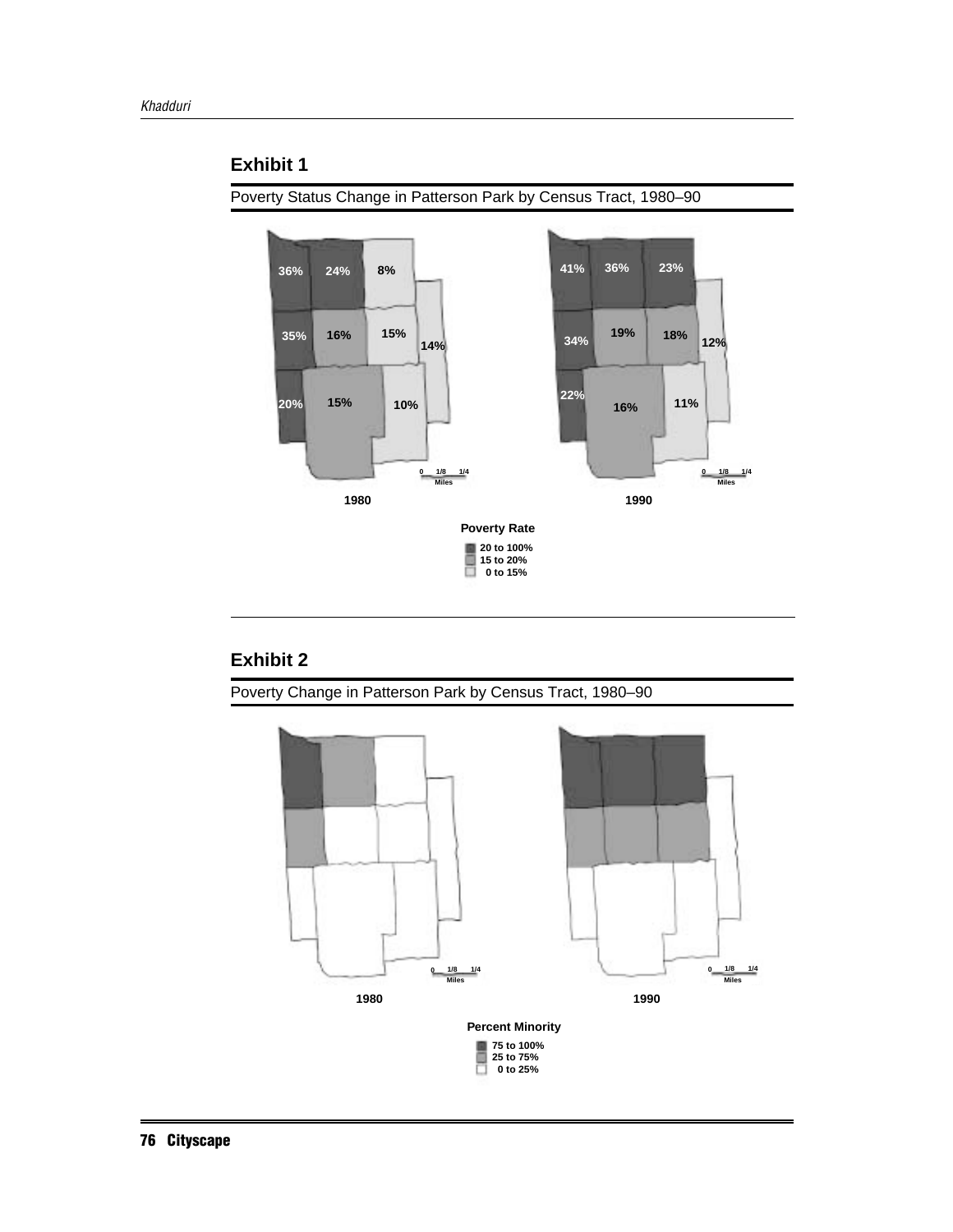#### **Exhibit 1**

Poverty Status Change in Patterson Park by Census Tract, 1980–90



## **Exhibit 2**

Poverty Change in Patterson Park by Census Tract, 1980–90

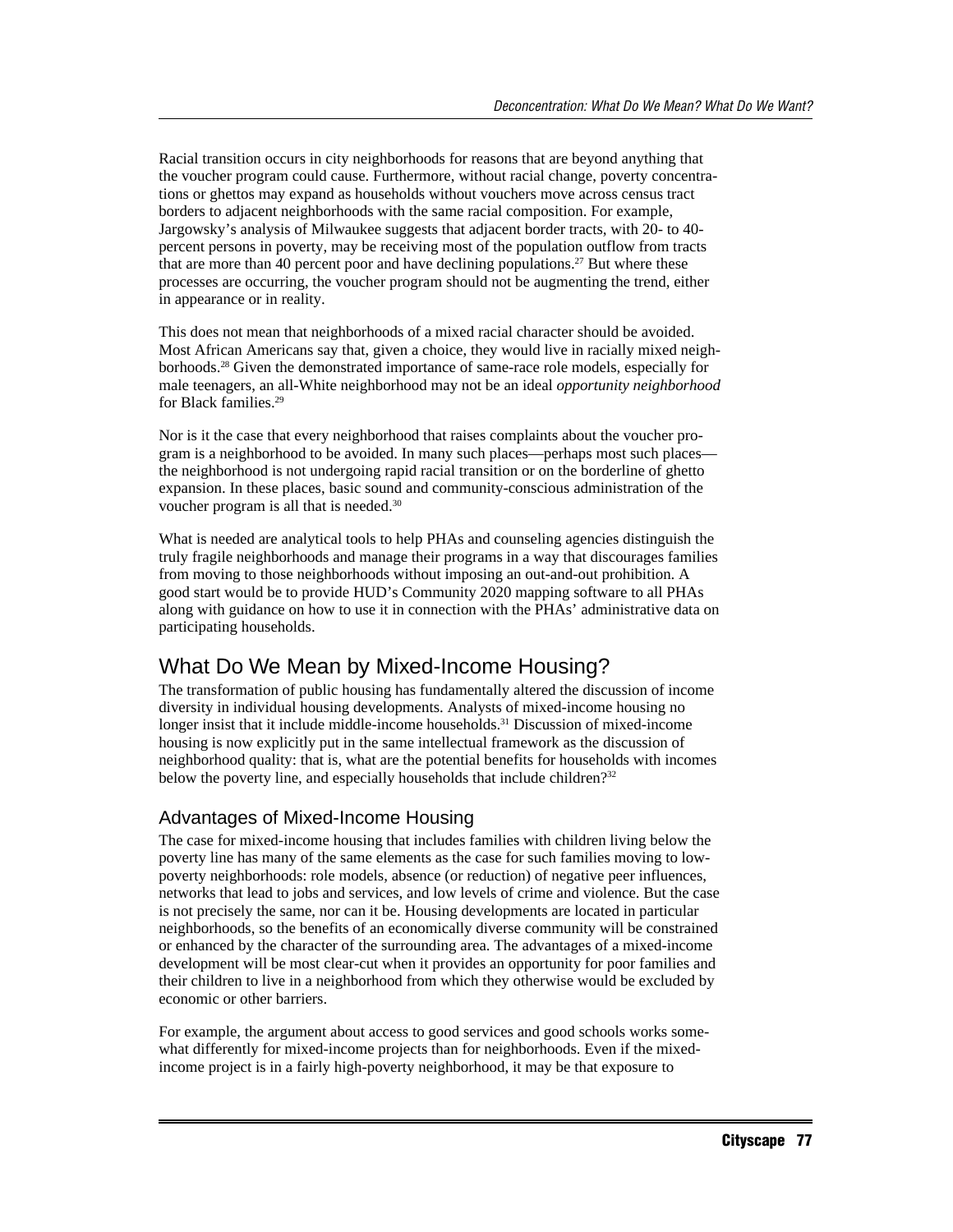Racial transition occurs in city neighborhoods for reasons that are beyond anything that the voucher program could cause. Furthermore, without racial change, poverty concentrations or ghettos may expand as households without vouchers move across census tract borders to adjacent neighborhoods with the same racial composition. For example, Jargowsky's analysis of Milwaukee suggests that adjacent border tracts, with 20- to 40 percent persons in poverty, may be receiving most of the population outflow from tracts that are more than 40 percent poor and have declining populations.<sup>27</sup> But where these processes are occurring, the voucher program should not be augmenting the trend, either in appearance or in reality.

This does not mean that neighborhoods of a mixed racial character should be avoided. Most African Americans say that, given a choice, they would live in racially mixed neighborhoods.28 Given the demonstrated importance of same-race role models, especially for male teenagers, an all-White neighborhood may not be an ideal *opportunity neighborhood* for Black families.29

Nor is it the case that every neighborhood that raises complaints about the voucher program is a neighborhood to be avoided. In many such places—perhaps most such places the neighborhood is not undergoing rapid racial transition or on the borderline of ghetto expansion. In these places, basic sound and community-conscious administration of the voucher program is all that is needed.<sup>30</sup>

What is needed are analytical tools to help PHAs and counseling agencies distinguish the truly fragile neighborhoods and manage their programs in a way that discourages families from moving to those neighborhoods without imposing an out-and-out prohibition. A good start would be to provide HUD's Community 2020 mapping software to all PHAs along with guidance on how to use it in connection with the PHAs' administrative data on participating households.

# What Do We Mean by Mixed-Income Housing?

The transformation of public housing has fundamentally altered the discussion of income diversity in individual housing developments. Analysts of mixed-income housing no longer insist that it include middle-income households.<sup>31</sup> Discussion of mixed-income housing is now explicitly put in the same intellectual framework as the discussion of neighborhood quality: that is, what are the potential benefits for households with incomes below the poverty line, and especially households that include children?<sup>32</sup>

#### Advantages of Mixed-Income Housing

The case for mixed-income housing that includes families with children living below the poverty line has many of the same elements as the case for such families moving to lowpoverty neighborhoods: role models, absence (or reduction) of negative peer influences, networks that lead to jobs and services, and low levels of crime and violence. But the case is not precisely the same, nor can it be. Housing developments are located in particular neighborhoods, so the benefits of an economically diverse community will be constrained or enhanced by the character of the surrounding area. The advantages of a mixed-income development will be most clear-cut when it provides an opportunity for poor families and their children to live in a neighborhood from which they otherwise would be excluded by economic or other barriers.

For example, the argument about access to good services and good schools works somewhat differently for mixed-income projects than for neighborhoods. Even if the mixedincome project is in a fairly high-poverty neighborhood, it may be that exposure to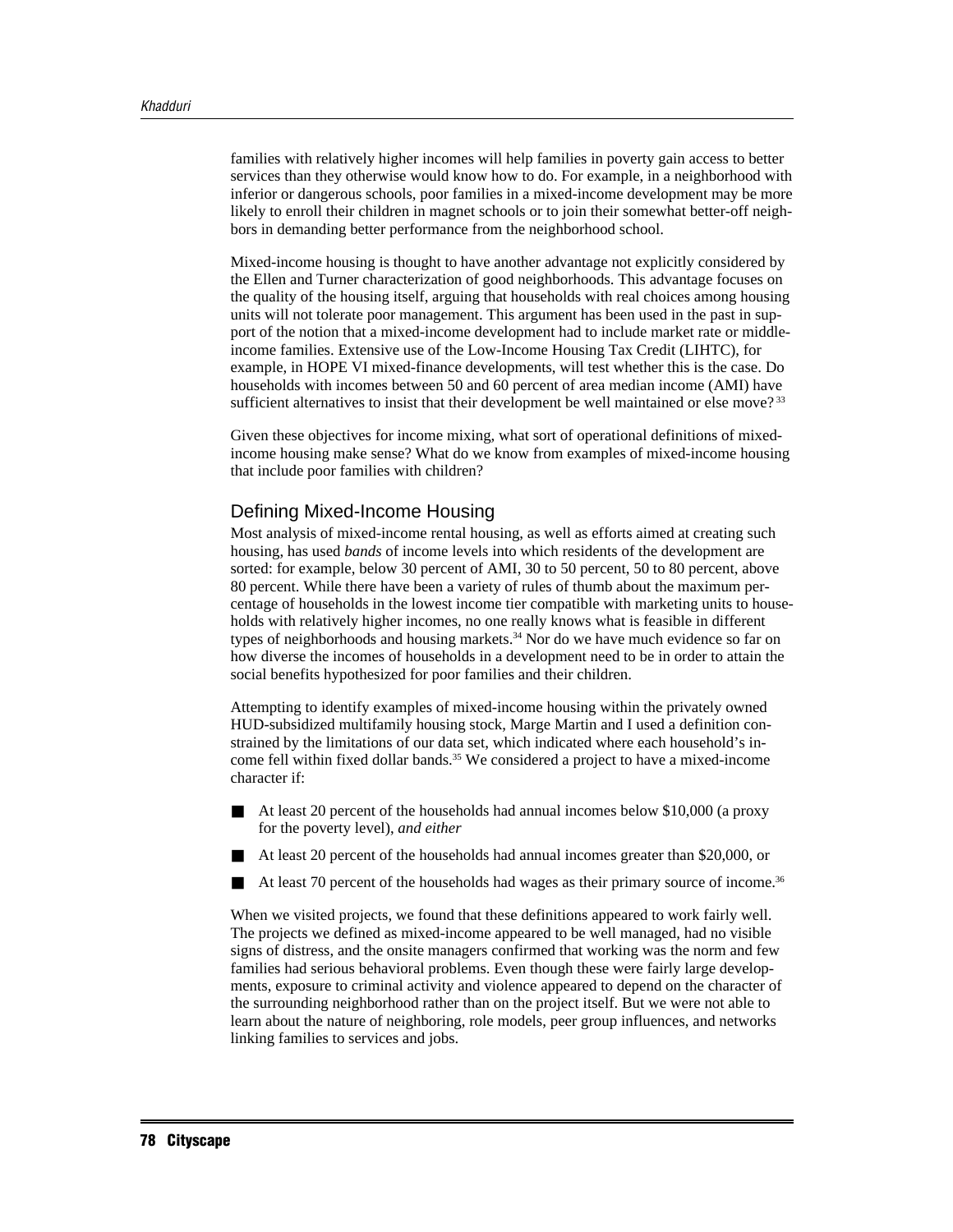families with relatively higher incomes will help families in poverty gain access to better services than they otherwise would know how to do. For example, in a neighborhood with inferior or dangerous schools, poor families in a mixed-income development may be more likely to enroll their children in magnet schools or to join their somewhat better-off neighbors in demanding better performance from the neighborhood school.

Mixed-income housing is thought to have another advantage not explicitly considered by the Ellen and Turner characterization of good neighborhoods. This advantage focuses on the quality of the housing itself, arguing that households with real choices among housing units will not tolerate poor management. This argument has been used in the past in support of the notion that a mixed-income development had to include market rate or middleincome families. Extensive use of the Low-Income Housing Tax Credit (LIHTC), for example, in HOPE VI mixed-finance developments, will test whether this is the case. Do households with incomes between 50 and 60 percent of area median income (AMI) have sufficient alternatives to insist that their development be well maintained or else move?<sup>33</sup>

Given these objectives for income mixing, what sort of operational definitions of mixedincome housing make sense? What do we know from examples of mixed-income housing that include poor families with children?

#### Defining Mixed-Income Housing

Most analysis of mixed-income rental housing, as well as efforts aimed at creating such housing, has used *bands* of income levels into which residents of the development are sorted: for example, below 30 percent of AMI, 30 to 50 percent, 50 to 80 percent, above 80 percent. While there have been a variety of rules of thumb about the maximum percentage of households in the lowest income tier compatible with marketing units to households with relatively higher incomes, no one really knows what is feasible in different types of neighborhoods and housing markets.<sup>34</sup> Nor do we have much evidence so far on how diverse the incomes of households in a development need to be in order to attain the social benefits hypothesized for poor families and their children.

Attempting to identify examples of mixed-income housing within the privately owned HUD-subsidized multifamily housing stock, Marge Martin and I used a definition constrained by the limitations of our data set, which indicated where each household's income fell within fixed dollar bands.<sup>35</sup> We considered a project to have a mixed-income character if:

- At least 20 percent of the households had annual incomes below \$10,000 (a proxy for the poverty level), *and either*
- At least 20 percent of the households had annual incomes greater than \$20,000, or
- At least 70 percent of the households had wages as their primary source of income.<sup>36</sup>

When we visited projects, we found that these definitions appeared to work fairly well. The projects we defined as mixed-income appeared to be well managed, had no visible signs of distress, and the onsite managers confirmed that working was the norm and few families had serious behavioral problems. Even though these were fairly large developments, exposure to criminal activity and violence appeared to depend on the character of the surrounding neighborhood rather than on the project itself. But we were not able to learn about the nature of neighboring, role models, peer group influences, and networks linking families to services and jobs.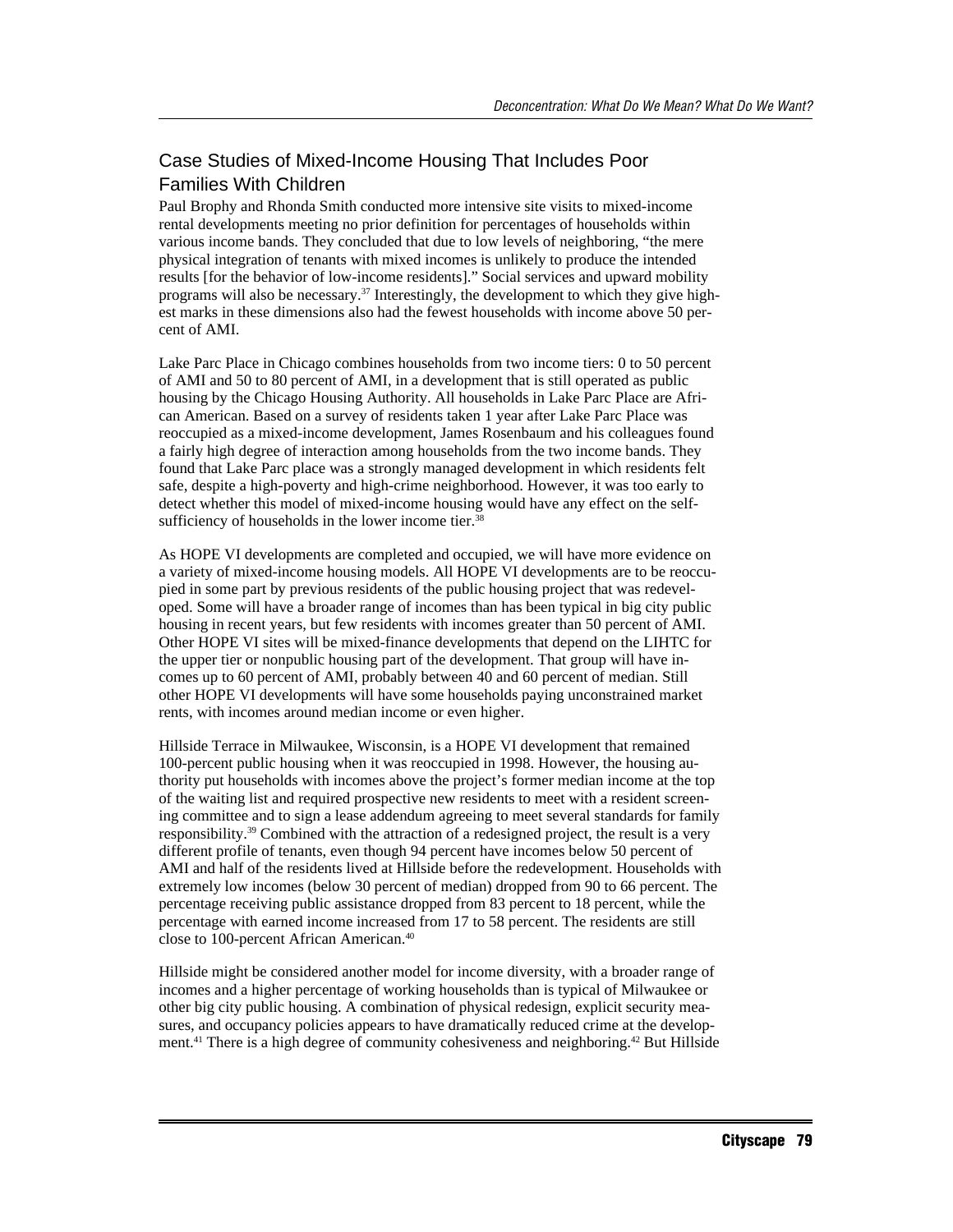## Case Studies of Mixed-Income Housing That Includes Poor Families With Children

Paul Brophy and Rhonda Smith conducted more intensive site visits to mixed-income rental developments meeting no prior definition for percentages of households within various income bands. They concluded that due to low levels of neighboring, "the mere physical integration of tenants with mixed incomes is unlikely to produce the intended results [for the behavior of low-income residents]." Social services and upward mobility programs will also be necessary.37 Interestingly, the development to which they give highest marks in these dimensions also had the fewest households with income above 50 percent of AMI.

Lake Parc Place in Chicago combines households from two income tiers: 0 to 50 percent of AMI and 50 to 80 percent of AMI, in a development that is still operated as public housing by the Chicago Housing Authority. All households in Lake Parc Place are African American. Based on a survey of residents taken 1 year after Lake Parc Place was reoccupied as a mixed-income development, James Rosenbaum and his colleagues found a fairly high degree of interaction among households from the two income bands. They found that Lake Parc place was a strongly managed development in which residents felt safe, despite a high-poverty and high-crime neighborhood. However, it was too early to detect whether this model of mixed-income housing would have any effect on the selfsufficiency of households in the lower income tier.<sup>38</sup>

As HOPE VI developments are completed and occupied, we will have more evidence on a variety of mixed-income housing models. All HOPE VI developments are to be reoccupied in some part by previous residents of the public housing project that was redeveloped. Some will have a broader range of incomes than has been typical in big city public housing in recent years, but few residents with incomes greater than 50 percent of AMI. Other HOPE VI sites will be mixed-finance developments that depend on the LIHTC for the upper tier or nonpublic housing part of the development. That group will have incomes up to 60 percent of AMI, probably between 40 and 60 percent of median. Still other HOPE VI developments will have some households paying unconstrained market rents, with incomes around median income or even higher.

Hillside Terrace in Milwaukee, Wisconsin, is a HOPE VI development that remained 100-percent public housing when it was reoccupied in 1998. However, the housing authority put households with incomes above the project's former median income at the top of the waiting list and required prospective new residents to meet with a resident screening committee and to sign a lease addendum agreeing to meet several standards for family responsibility.39 Combined with the attraction of a redesigned project, the result is a very different profile of tenants, even though 94 percent have incomes below 50 percent of AMI and half of the residents lived at Hillside before the redevelopment. Households with extremely low incomes (below 30 percent of median) dropped from 90 to 66 percent. The percentage receiving public assistance dropped from 83 percent to 18 percent, while the percentage with earned income increased from 17 to 58 percent. The residents are still close to 100-percent African American.40

Hillside might be considered another model for income diversity, with a broader range of incomes and a higher percentage of working households than is typical of Milwaukee or other big city public housing. A combination of physical redesign, explicit security measures, and occupancy policies appears to have dramatically reduced crime at the development.<sup>41</sup> There is a high degree of community cohesiveness and neighboring.<sup>42</sup> But Hillside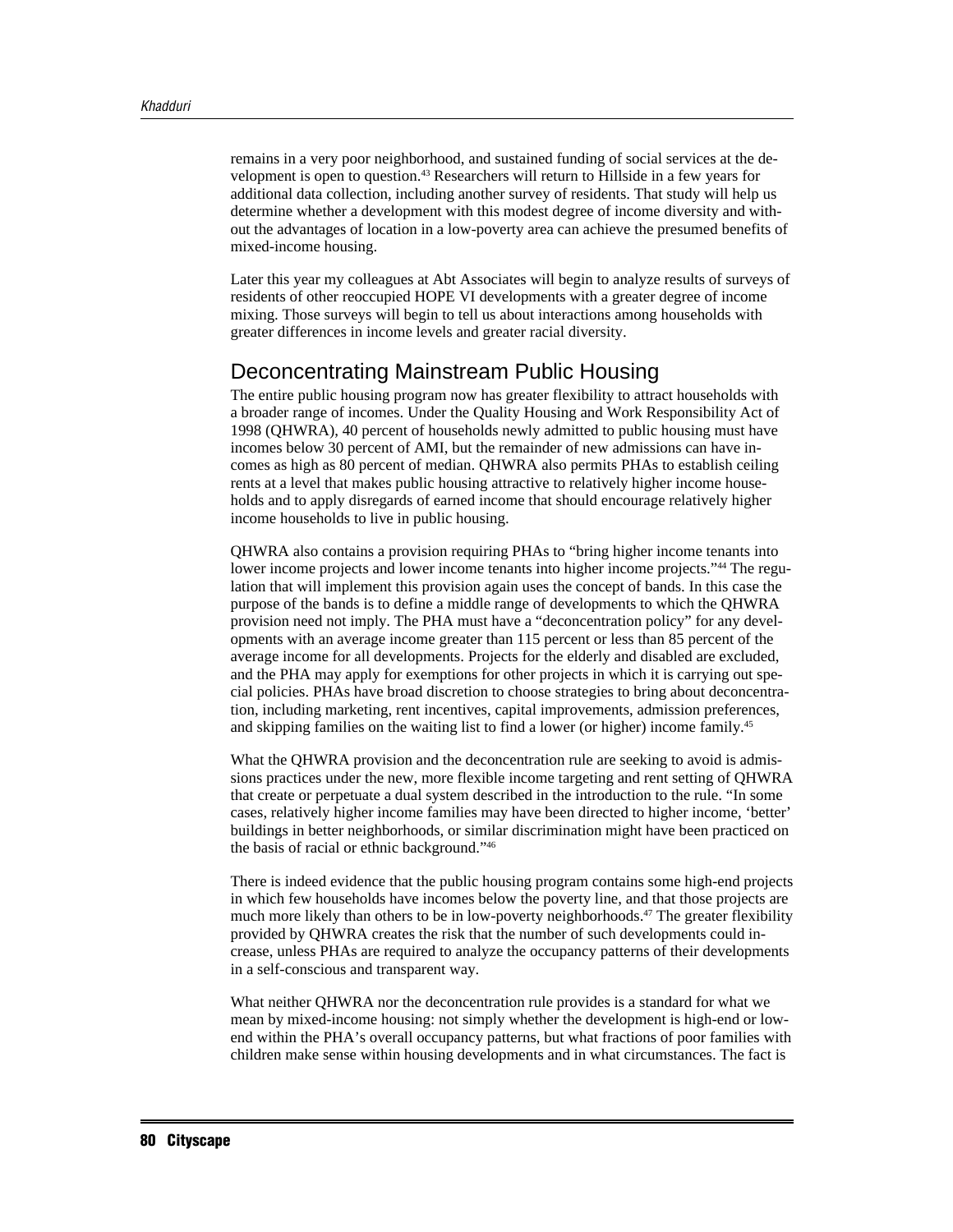remains in a very poor neighborhood, and sustained funding of social services at the development is open to question.43 Researchers will return to Hillside in a few years for additional data collection, including another survey of residents. That study will help us determine whether a development with this modest degree of income diversity and without the advantages of location in a low-poverty area can achieve the presumed benefits of mixed-income housing.

Later this year my colleagues at Abt Associates will begin to analyze results of surveys of residents of other reoccupied HOPE VI developments with a greater degree of income mixing. Those surveys will begin to tell us about interactions among households with greater differences in income levels and greater racial diversity.

# Deconcentrating Mainstream Public Housing

The entire public housing program now has greater flexibility to attract households with a broader range of incomes. Under the Quality Housing and Work Responsibility Act of 1998 (QHWRA), 40 percent of households newly admitted to public housing must have incomes below 30 percent of AMI, but the remainder of new admissions can have incomes as high as 80 percent of median. QHWRA also permits PHAs to establish ceiling rents at a level that makes public housing attractive to relatively higher income households and to apply disregards of earned income that should encourage relatively higher income households to live in public housing.

QHWRA also contains a provision requiring PHAs to "bring higher income tenants into lower income projects and lower income tenants into higher income projects."44 The regulation that will implement this provision again uses the concept of bands. In this case the purpose of the bands is to define a middle range of developments to which the QHWRA provision need not imply. The PHA must have a "deconcentration policy" for any developments with an average income greater than 115 percent or less than 85 percent of the average income for all developments. Projects for the elderly and disabled are excluded, and the PHA may apply for exemptions for other projects in which it is carrying out special policies. PHAs have broad discretion to choose strategies to bring about deconcentration, including marketing, rent incentives, capital improvements, admission preferences, and skipping families on the waiting list to find a lower (or higher) income family.<sup>45</sup>

What the QHWRA provision and the deconcentration rule are seeking to avoid is admissions practices under the new, more flexible income targeting and rent setting of QHWRA that create or perpetuate a dual system described in the introduction to the rule. "In some cases, relatively higher income families may have been directed to higher income, 'better' buildings in better neighborhoods, or similar discrimination might have been practiced on the basis of racial or ethnic background."46

There is indeed evidence that the public housing program contains some high-end projects in which few households have incomes below the poverty line, and that those projects are much more likely than others to be in low-poverty neighborhoods.<sup>47</sup> The greater flexibility provided by QHWRA creates the risk that the number of such developments could increase, unless PHAs are required to analyze the occupancy patterns of their developments in a self-conscious and transparent way.

What neither QHWRA nor the deconcentration rule provides is a standard for what we mean by mixed-income housing: not simply whether the development is high-end or lowend within the PHA's overall occupancy patterns, but what fractions of poor families with children make sense within housing developments and in what circumstances. The fact is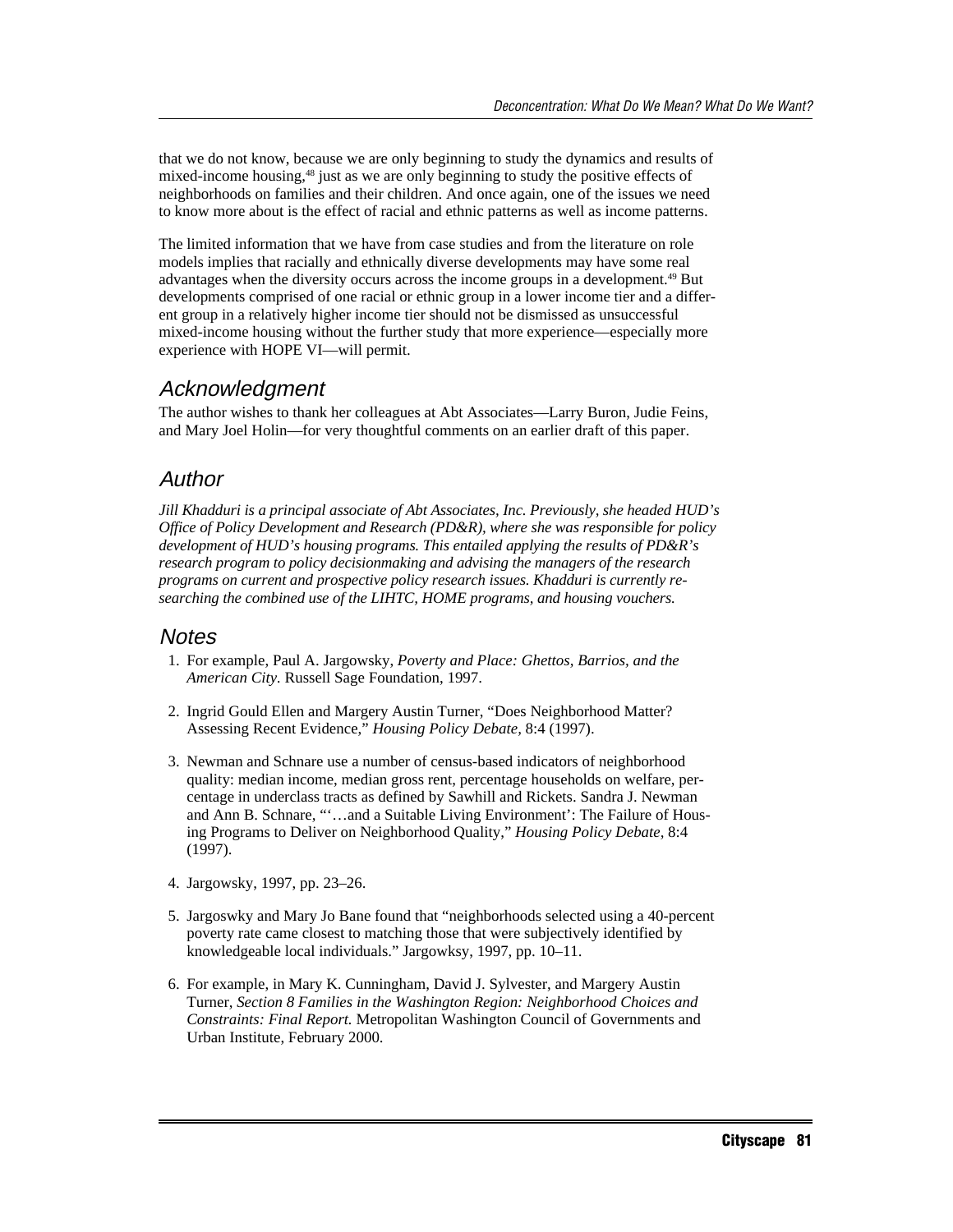that we do not know, because we are only beginning to study the dynamics and results of mixed-income housing,48 just as we are only beginning to study the positive effects of neighborhoods on families and their children. And once again, one of the issues we need to know more about is the effect of racial and ethnic patterns as well as income patterns.

The limited information that we have from case studies and from the literature on role models implies that racially and ethnically diverse developments may have some real advantages when the diversity occurs across the income groups in a development.49 But developments comprised of one racial or ethnic group in a lower income tier and a different group in a relatively higher income tier should not be dismissed as unsuccessful mixed-income housing without the further study that more experience—especially more experience with HOPE VI—will permit.

## Acknowledgment

The author wishes to thank her colleagues at Abt Associates—Larry Buron, Judie Feins, and Mary Joel Holin—for very thoughtful comments on an earlier draft of this paper.

# Author

*Jill Khadduri is a principal associate of Abt Associates, Inc. Previously, she headed HUD's Office of Policy Development and Research (PD&R), where she was responsible for policy development of HUD's housing programs. This entailed applying the results of PD&R's research program to policy decisionmaking and advising the managers of the research programs on current and prospective policy research issues. Khadduri is currently researching the combined use of the LIHTC, HOME programs, and housing vouchers.*

## **Notes**

- 1. For example, Paul A. Jargowsky, *Poverty and Place: Ghettos, Barrios, and the American City.* Russell Sage Foundation, 1997.
- 2. Ingrid Gould Ellen and Margery Austin Turner, "Does Neighborhood Matter? Assessing Recent Evidence," *Housing Policy Debate,* 8:4 (1997).
- 3. Newman and Schnare use a number of census-based indicators of neighborhood quality: median income, median gross rent, percentage households on welfare, percentage in underclass tracts as defined by Sawhill and Rickets. Sandra J. Newman and Ann B. Schnare, "'…and a Suitable Living Environment': The Failure of Housing Programs to Deliver on Neighborhood Quality," *Housing Policy Debate,* 8:4 (1997).
- 4. Jargowsky, 1997, pp. 23–26.
- 5. Jargoswky and Mary Jo Bane found that "neighborhoods selected using a 40-percent poverty rate came closest to matching those that were subjectively identified by knowledgeable local individuals." Jargowksy, 1997, pp. 10–11.
- 6. For example, in Mary K. Cunningham, David J. Sylvester, and Margery Austin Turner, *Section 8 Families in the Washington Region: Neighborhood Choices and Constraints: Final Report.* Metropolitan Washington Council of Governments and Urban Institute, February 2000.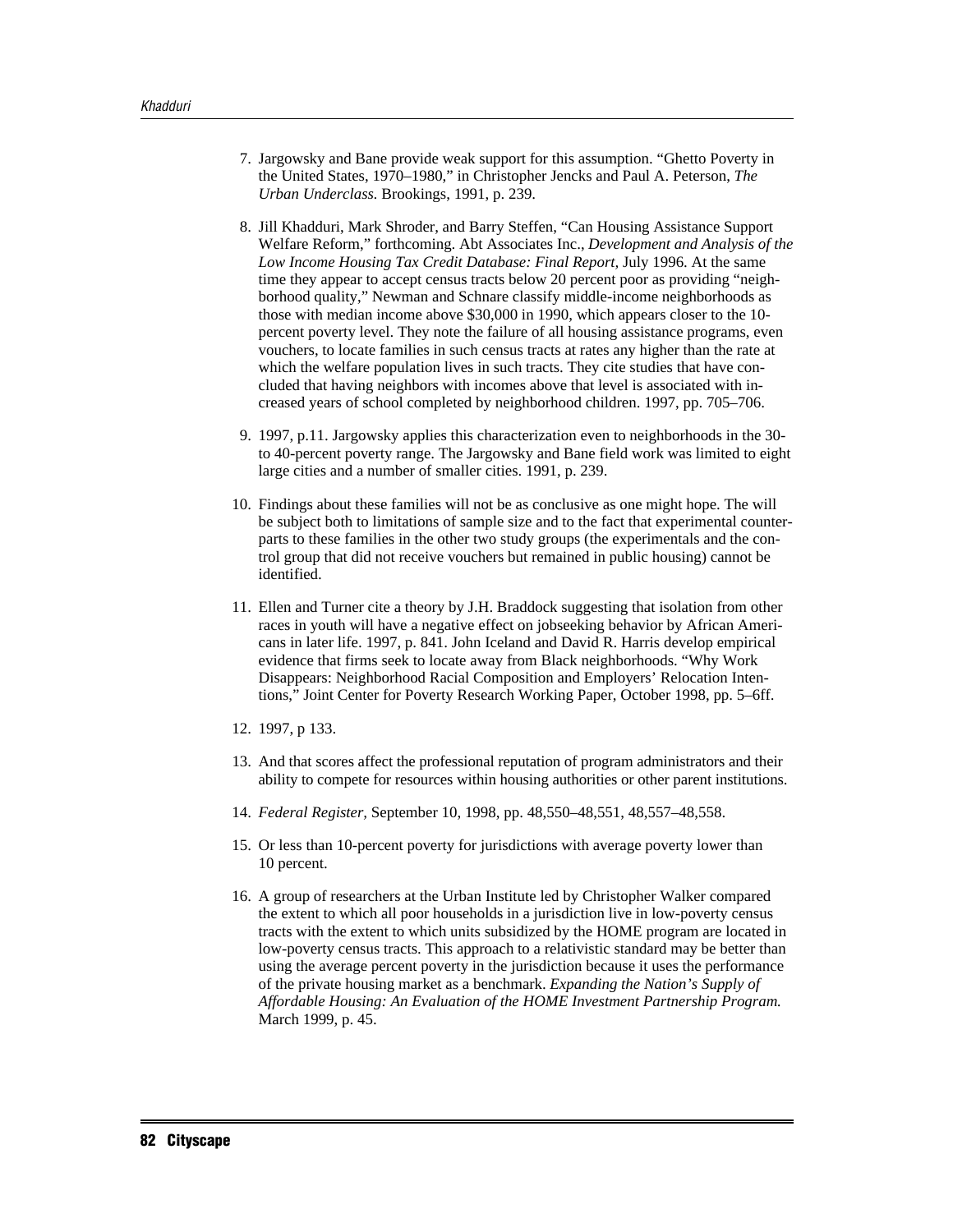- 7. Jargowsky and Bane provide weak support for this assumption. "Ghetto Poverty in the United States, 1970–1980," in Christopher Jencks and Paul A. Peterson, *The Urban Underclass.* Brookings, 1991, p. 239.
- 8. Jill Khadduri, Mark Shroder, and Barry Steffen, "Can Housing Assistance Support Welfare Reform," forthcoming. Abt Associates Inc., *Development and Analysis of the Low Income Housing Tax Credit Database: Final Report,* July 1996. At the same time they appear to accept census tracts below 20 percent poor as providing "neighborhood quality," Newman and Schnare classify middle-income neighborhoods as those with median income above \$30,000 in 1990, which appears closer to the 10 percent poverty level. They note the failure of all housing assistance programs, even vouchers, to locate families in such census tracts at rates any higher than the rate at which the welfare population lives in such tracts. They cite studies that have concluded that having neighbors with incomes above that level is associated with increased years of school completed by neighborhood children. 1997, pp. 705–706.
- 9. 1997, p.11. Jargowsky applies this characterization even to neighborhoods in the 30 to 40-percent poverty range. The Jargowsky and Bane field work was limited to eight large cities and a number of smaller cities. 1991, p. 239.
- 10. Findings about these families will not be as conclusive as one might hope. The will be subject both to limitations of sample size and to the fact that experimental counterparts to these families in the other two study groups (the experimentals and the control group that did not receive vouchers but remained in public housing) cannot be identified.
- 11. Ellen and Turner cite a theory by J.H. Braddock suggesting that isolation from other races in youth will have a negative effect on jobseeking behavior by African Americans in later life. 1997, p. 841. John Iceland and David R. Harris develop empirical evidence that firms seek to locate away from Black neighborhoods. "Why Work Disappears: Neighborhood Racial Composition and Employers' Relocation Intentions," Joint Center for Poverty Research Working Paper, October 1998, pp. 5–6ff.
- 12. 1997, p 133.
- 13. And that scores affect the professional reputation of program administrators and their ability to compete for resources within housing authorities or other parent institutions.
- 14. *Federal Register,* September 10, 1998, pp. 48,550–48,551, 48,557–48,558.
- 15. Or less than 10-percent poverty for jurisdictions with average poverty lower than 10 percent.
- 16. A group of researchers at the Urban Institute led by Christopher Walker compared the extent to which all poor households in a jurisdiction live in low-poverty census tracts with the extent to which units subsidized by the HOME program are located in low-poverty census tracts. This approach to a relativistic standard may be better than using the average percent poverty in the jurisdiction because it uses the performance of the private housing market as a benchmark. *Expanding the Nation's Supply of Affordable Housing: An Evaluation of the HOME Investment Partnership Program.* March 1999, p. 45.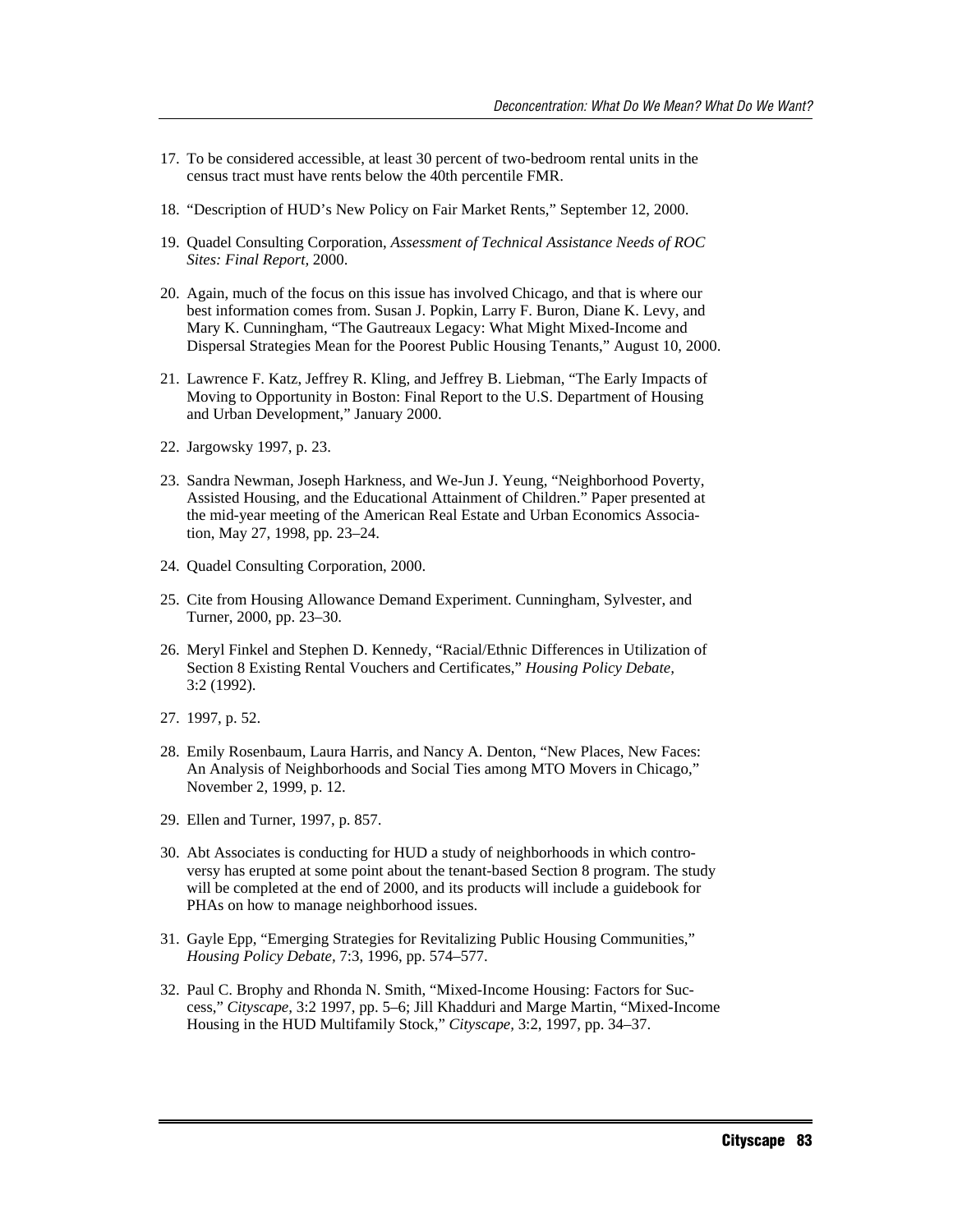- 17. To be considered accessible, at least 30 percent of two-bedroom rental units in the census tract must have rents below the 40th percentile FMR.
- 18. "Description of HUD's New Policy on Fair Market Rents," September 12, 2000.
- 19. Quadel Consulting Corporation, *Assessment of Technical Assistance Needs of ROC Sites: Final Report,* 2000.
- 20. Again, much of the focus on this issue has involved Chicago, and that is where our best information comes from. Susan J. Popkin, Larry F. Buron, Diane K. Levy, and Mary K. Cunningham, "The Gautreaux Legacy: What Might Mixed-Income and Dispersal Strategies Mean for the Poorest Public Housing Tenants," August 10, 2000.
- 21. Lawrence F. Katz, Jeffrey R. Kling, and Jeffrey B. Liebman, "The Early Impacts of Moving to Opportunity in Boston: Final Report to the U.S. Department of Housing and Urban Development," January 2000.
- 22. Jargowsky 1997, p. 23.
- 23. Sandra Newman, Joseph Harkness, and We-Jun J. Yeung, "Neighborhood Poverty, Assisted Housing, and the Educational Attainment of Children." Paper presented at the mid-year meeting of the American Real Estate and Urban Economics Association, May 27, 1998, pp. 23–24.
- 24. Quadel Consulting Corporation, 2000.
- 25. Cite from Housing Allowance Demand Experiment. Cunningham, Sylvester, and Turner, 2000, pp. 23–30.
- 26. Meryl Finkel and Stephen D. Kennedy, "Racial/Ethnic Differences in Utilization of Section 8 Existing Rental Vouchers and Certificates," *Housing Policy Debate,* 3:2 (1992).
- 27. 1997, p. 52.
- 28. Emily Rosenbaum, Laura Harris, and Nancy A. Denton, "New Places, New Faces: An Analysis of Neighborhoods and Social Ties among MTO Movers in Chicago," November 2, 1999, p. 12.
- 29. Ellen and Turner, 1997, p. 857.
- 30. Abt Associates is conducting for HUD a study of neighborhoods in which controversy has erupted at some point about the tenant-based Section 8 program. The study will be completed at the end of 2000, and its products will include a guidebook for PHAs on how to manage neighborhood issues.
- 31. Gayle Epp, "Emerging Strategies for Revitalizing Public Housing Communities," *Housing Policy Debate,* 7:3, 1996, pp. 574–577.
- 32. Paul C. Brophy and Rhonda N. Smith, "Mixed-Income Housing: Factors for Success," *Cityscape,* 3:2 1997, pp. 5–6; Jill Khadduri and Marge Martin, "Mixed-Income Housing in the HUD Multifamily Stock," *Cityscape,* 3:2, 1997, pp. 34–37.